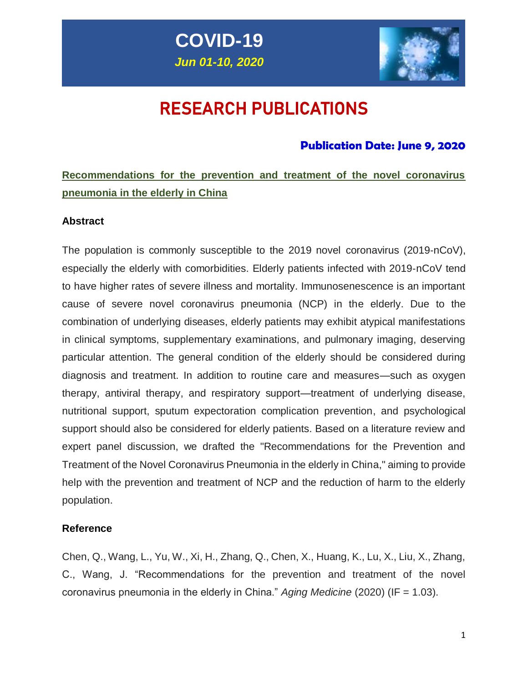



# RESEARCH PUBLICATIONS

### **Publication Date: June 9, 2020**

# **Recommendations for the prevention and treatment of the novel coronavirus pneumonia in the elderly in China**

### **Abstract**

The population is commonly susceptible to the 2019 novel coronavirus (2019-nCoV), especially the elderly with comorbidities. Elderly patients infected with 2019‐nCoV tend to have higher rates of severe illness and mortality. Immunosenescence is an important cause of severe novel coronavirus pneumonia (NCP) in the elderly. Due to the combination of underlying diseases, elderly patients may exhibit atypical manifestations in clinical symptoms, supplementary examinations, and pulmonary imaging, deserving particular attention. The general condition of the elderly should be considered during diagnosis and treatment. In addition to routine care and measures—such as oxygen therapy, antiviral therapy, and respiratory support—treatment of underlying disease, nutritional support, sputum expectoration complication prevention, and psychological support should also be considered for elderly patients. Based on a literature review and expert panel discussion, we drafted the "Recommendations for the Prevention and Treatment of the Novel Coronavirus Pneumonia in the elderly in China," aiming to provide help with the prevention and treatment of NCP and the reduction of harm to the elderly population.

### **Reference**

Chen, Q., Wang, L., Yu, W., Xi, H., Zhang, Q., Chen, X., Huang, K., Lu, X., Liu, X., Zhang, C., Wang, J. "Recommendations for the prevention and treatment of the novel coronavirus pneumonia in the elderly in China." *Aging Medicine* (2020) (IF = 1.03).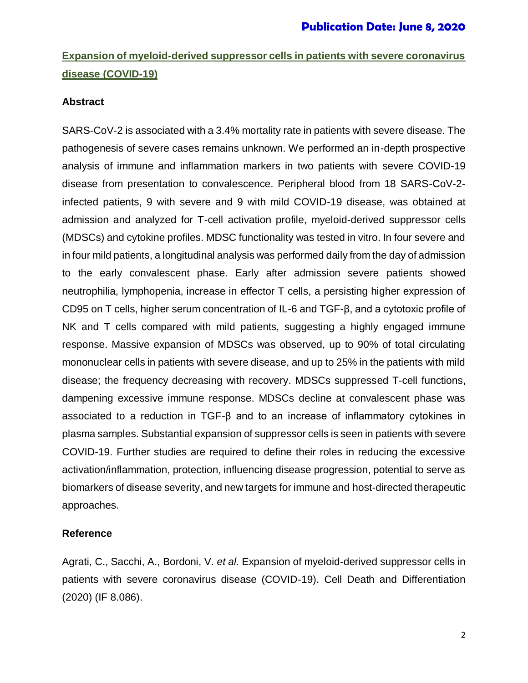### **Expansion of myeloid-derived suppressor cells in patients with severe coronavirus disease (COVID-19)**

### **Abstract**

SARS-CoV-2 is associated with a 3.4% mortality rate in patients with severe disease. The pathogenesis of severe cases remains unknown. We performed an in-depth prospective analysis of immune and inflammation markers in two patients with severe COVID-19 disease from presentation to convalescence. Peripheral blood from 18 SARS-CoV-2 infected patients, 9 with severe and 9 with mild COVID-19 disease, was obtained at admission and analyzed for T-cell activation profile, myeloid-derived suppressor cells (MDSCs) and cytokine profiles. MDSC functionality was tested in vitro. In four severe and in four mild patients, a longitudinal analysis was performed daily from the day of admission to the early convalescent phase. Early after admission severe patients showed neutrophilia, lymphopenia, increase in effector T cells, a persisting higher expression of CD95 on T cells, higher serum concentration of IL-6 and TGF-β, and a cytotoxic profile of NK and T cells compared with mild patients, suggesting a highly engaged immune response. Massive expansion of MDSCs was observed, up to 90% of total circulating mononuclear cells in patients with severe disease, and up to 25% in the patients with mild disease; the frequency decreasing with recovery. MDSCs suppressed T-cell functions, dampening excessive immune response. MDSCs decline at convalescent phase was associated to a reduction in TGF-β and to an increase of inflammatory cytokines in plasma samples. Substantial expansion of suppressor cells is seen in patients with severe COVID-19. Further studies are required to define their roles in reducing the excessive activation/inflammation, protection, influencing disease progression, potential to serve as biomarkers of disease severity, and new targets for immune and host-directed therapeutic approaches.

### **Reference**

Agrati, C., Sacchi, A., Bordoni, V. *et al.* Expansion of myeloid-derived suppressor cells in patients with severe coronavirus disease (COVID-19). Cell Death and Differentiation (2020) (IF 8.086).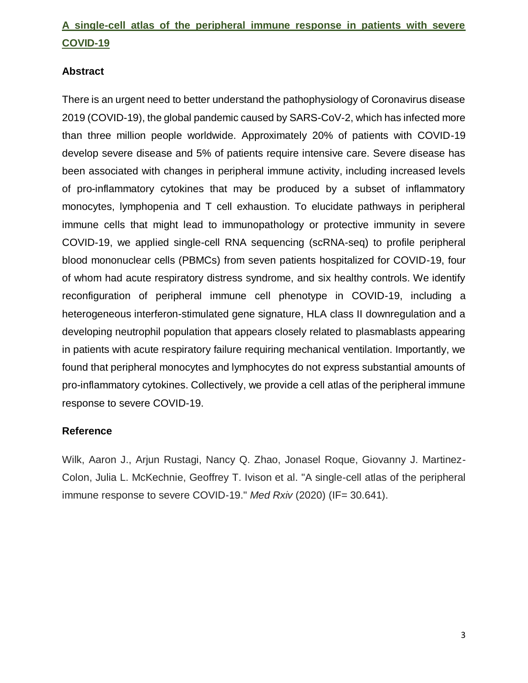## **A single-cell atlas of the peripheral immune response in patients with severe COVID-19**

### **Abstract**

There is an urgent need to better understand the pathophysiology of Coronavirus disease 2019 (COVID-19), the global pandemic caused by SARS-CoV-2, which has infected more than three million people worldwide. Approximately 20% of patients with COVID-19 develop severe disease and 5% of patients require intensive care. Severe disease has been associated with changes in peripheral immune activity, including increased levels of pro-inflammatory cytokines that may be produced by a subset of inflammatory monocytes, lymphopenia and T cell exhaustion. To elucidate pathways in peripheral immune cells that might lead to immunopathology or protective immunity in severe COVID-19, we applied single-cell RNA sequencing (scRNA-seq) to profile peripheral blood mononuclear cells (PBMCs) from seven patients hospitalized for COVID-19, four of whom had acute respiratory distress syndrome, and six healthy controls. We identify reconfiguration of peripheral immune cell phenotype in COVID-19, including a heterogeneous interferon-stimulated gene signature, HLA class II downregulation and a developing neutrophil population that appears closely related to plasmablasts appearing in patients with acute respiratory failure requiring mechanical ventilation. Importantly, we found that peripheral monocytes and lymphocytes do not express substantial amounts of pro-inflammatory cytokines. Collectively, we provide a cell atlas of the peripheral immune response to severe COVID-19.

### **Reference**

Wilk, Aaron J., Arjun Rustagi, Nancy Q. Zhao, Jonasel Roque, Giovanny J. Martinez-Colon, Julia L. McKechnie, Geoffrey T. Ivison et al. "A single-cell atlas of the peripheral immune response to severe COVID-19." *Med Rxiv* (2020) (IF= 30.641).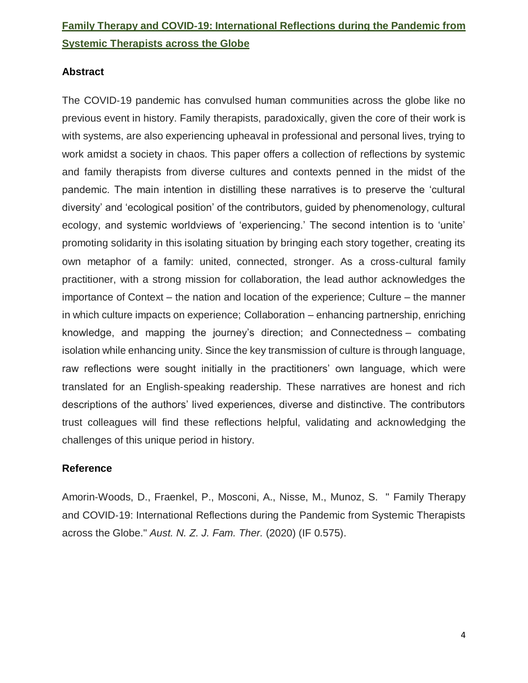# **Family Therapy and COVID**‐**19: International Reflections during the Pandemic from Systemic Therapists across the Globe**

### **Abstract**

The COVID‐19 pandemic has convulsed human communities across the globe like no previous event in history. Family therapists, paradoxically, given the core of their work is with systems, are also experiencing upheaval in professional and personal lives, trying to work amidst a society in chaos. This paper offers a collection of reflections by systemic and family therapists from diverse cultures and contexts penned in the midst of the pandemic. The main intention in distilling these narratives is to preserve the 'cultural diversity' and 'ecological position' of the contributors, guided by phenomenology, cultural ecology, and systemic worldviews of 'experiencing.' The second intention is to 'unite' promoting solidarity in this isolating situation by bringing each story together, creating its own metaphor of a family: united, connected, stronger. As a cross-cultural family practitioner, with a strong mission for collaboration, the lead author acknowledges the importance of Context – the nation and location of the experience; Culture – the manner in which culture impacts on experience; Collaboration – enhancing partnership, enriching knowledge, and mapping the journey's direction; and Connectedness – combating isolation while enhancing unity. Since the key transmission of culture is through language, raw reflections were sought initially in the practitioners' own language, which were translated for an English‐speaking readership. These narratives are honest and rich descriptions of the authors' lived experiences, diverse and distinctive. The contributors trust colleagues will find these reflections helpful, validating and acknowledging the challenges of this unique period in history.

### **Reference**

Amorin‐Woods, D., Fraenkel, P., Mosconi, A., Nisse, M., Munoz, S. " Family Therapy and COVID‐19: International Reflections during the Pandemic from Systemic Therapists across the Globe." *Aust. N. Z. J. Fam. Ther.* (2020) (IF 0.575).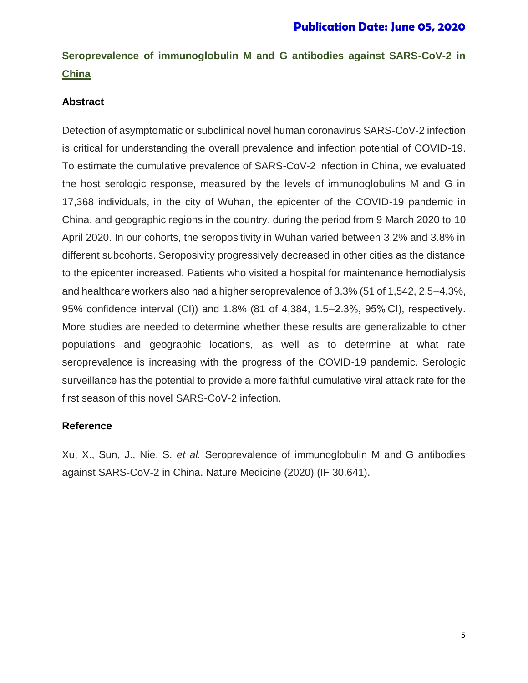# **Seroprevalence of immunoglobulin M and G antibodies against SARS-CoV-2 in China**

### **Abstract**

Detection of asymptomatic or subclinical novel human coronavirus SARS-CoV-2 infection is critical for understanding the overall prevalence and infection potential of COVID-19. To estimate the cumulative prevalence of SARS-CoV-2 infection in China, we evaluated the host serologic response, measured by the levels of immunoglobulins M and G in 17,368 individuals, in the city of Wuhan, the epicenter of the COVID-19 pandemic in China, and geographic regions in the country, during the period from 9 March 2020 to 10 April 2020. In our cohorts, the seropositivity in Wuhan varied between 3.2% and 3.8% in different subcohorts. Seroposivity progressively decreased in other cities as the distance to the epicenter increased. Patients who visited a hospital for maintenance hemodialysis and healthcare workers also had a higher seroprevalence of 3.3% (51 of 1,542, 2.5–4.3%, 95% confidence interval (CI)) and 1.8% (81 of 4,384, 1.5–2.3%, 95% CI), respectively. More studies are needed to determine whether these results are generalizable to other populations and geographic locations, as well as to determine at what rate seroprevalence is increasing with the progress of the COVID-19 pandemic. Serologic surveillance has the potential to provide a more faithful cumulative viral attack rate for the first season of this novel SARS-CoV-2 infection.

### **Reference**

Xu, X., Sun, J., Nie, S. *et al.* Seroprevalence of immunoglobulin M and G antibodies against SARS-CoV-2 in China. Nature Medicine (2020) (IF 30.641).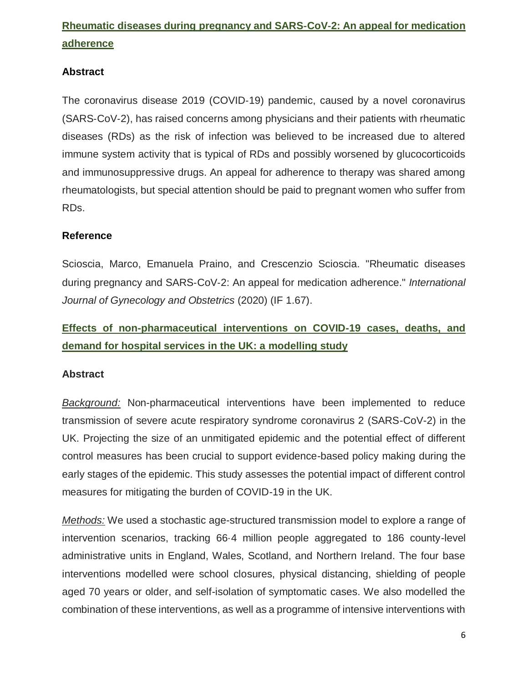# **Rheumatic diseases during pregnancy and SARS**‐**CoV**‐**2: An appeal for medication adherence**

### **Abstract**

The coronavirus disease 2019 (COVID‐19) pandemic, caused by a novel coronavirus (SARS‐CoV‐2), has raised concerns among physicians and their patients with rheumatic diseases (RDs) as the risk of infection was believed to be increased due to altered immune system activity that is typical of RDs and possibly worsened by glucocorticoids and immunosuppressive drugs. An appeal for adherence to therapy was shared among rheumatologists, but special attention should be paid to pregnant women who suffer from RDs.

### **Reference**

Scioscia, Marco, Emanuela Praino, and Crescenzio Scioscia. "Rheumatic diseases during pregnancy and SARS‐CoV‐2: An appeal for medication adherence." *International Journal of Gynecology and Obstetrics* (2020) (IF 1.67).

# **Effects of non-pharmaceutical interventions on COVID-19 cases, deaths, and demand for hospital services in the UK: a modelling study**

### **Abstract**

*Background:* Non-pharmaceutical interventions have been implemented to reduce transmission of severe acute respiratory syndrome coronavirus 2 (SARS-CoV-2) in the UK. Projecting the size of an unmitigated epidemic and the potential effect of different control measures has been crucial to support evidence-based policy making during the early stages of the epidemic. This study assesses the potential impact of different control measures for mitigating the burden of COVID-19 in the UK.

*Methods:* We used a stochastic age-structured transmission model to explore a range of intervention scenarios, tracking 66·4 million people aggregated to 186 county-level administrative units in England, Wales, Scotland, and Northern Ireland. The four base interventions modelled were school closures, physical distancing, shielding of people aged 70 years or older, and self-isolation of symptomatic cases. We also modelled the combination of these interventions, as well as a programme of intensive interventions with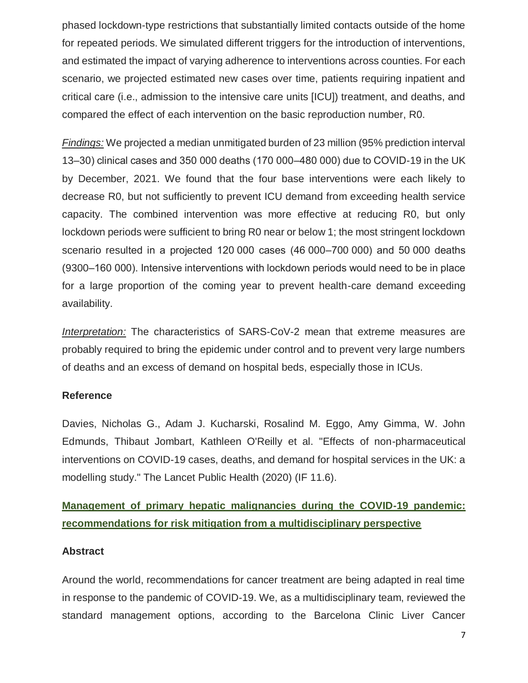phased lockdown-type restrictions that substantially limited contacts outside of the home for repeated periods. We simulated different triggers for the introduction of interventions, and estimated the impact of varying adherence to interventions across counties. For each scenario, we projected estimated new cases over time, patients requiring inpatient and critical care (i.e., admission to the intensive care units [ICU]) treatment, and deaths, and compared the effect of each intervention on the basic reproduction number, R0.

*Findings:* We projected a median unmitigated burden of 23 million (95% prediction interval 13–30) clinical cases and 350 000 deaths (170 000–480 000) due to COVID-19 in the UK by December, 2021. We found that the four base interventions were each likely to decrease R0, but not sufficiently to prevent ICU demand from exceeding health service capacity. The combined intervention was more effective at reducing R0, but only lockdown periods were sufficient to bring R0 near or below 1; the most stringent lockdown scenario resulted in a projected 120 000 cases (46 000–700 000) and 50 000 deaths (9300–160 000). Intensive interventions with lockdown periods would need to be in place for a large proportion of the coming year to prevent health-care demand exceeding availability.

*Interpretation:* The characteristics of SARS-CoV-2 mean that extreme measures are probably required to bring the epidemic under control and to prevent very large numbers of deaths and an excess of demand on hospital beds, especially those in ICUs.

### **Reference**

Davies, Nicholas G., Adam J. Kucharski, Rosalind M. Eggo, Amy Gimma, W. John Edmunds, Thibaut Jombart, Kathleen O'Reilly et al. "Effects of non-pharmaceutical interventions on COVID-19 cases, deaths, and demand for hospital services in the UK: a modelling study." The Lancet Public Health (2020) (IF 11.6).

**Management of primary hepatic malignancies during the COVID-19 pandemic: recommendations for risk mitigation from a multidisciplinary perspective**

### **Abstract**

Around the world, recommendations for cancer treatment are being adapted in real time in response to the pandemic of COVID-19. We, as a multidisciplinary team, reviewed the standard management options, according to the Barcelona Clinic Liver Cancer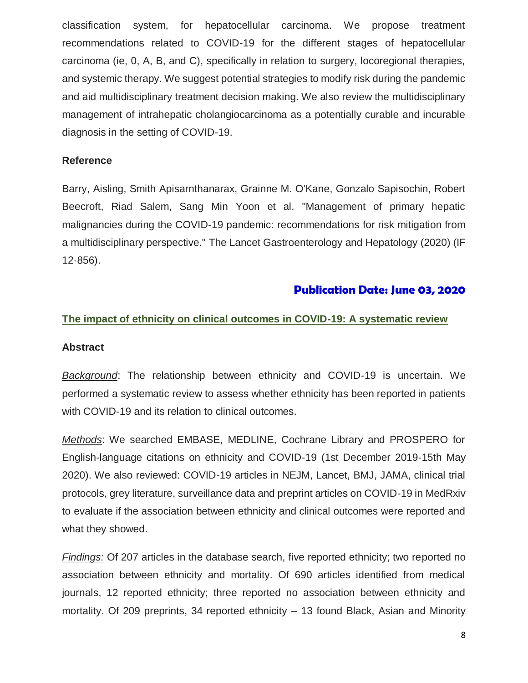classification system, for hepatocellular carcinoma. We propose treatment recommendations related to COVID-19 for the different stages of hepatocellular carcinoma (ie, 0, A, B, and C), specifically in relation to surgery, locoregional therapies, and systemic therapy. We suggest potential strategies to modify risk during the pandemic and aid multidisciplinary treatment decision making. We also review the multidisciplinary management of intrahepatic cholangiocarcinoma as a potentially curable and incurable diagnosis in the setting of COVID-19.

#### **Reference**

Barry, Aisling, Smith Apisarnthanarax, Grainne M. O'Kane, Gonzalo Sapisochin, Robert Beecroft, Riad Salem, Sang Min Yoon et al. "Management of primary hepatic malignancies during the COVID-19 pandemic: recommendations for risk mitigation from a multidisciplinary perspective." The Lancet Gastroenterology and Hepatology (2020) (IF 12·856).

### **Publication Date: June 03, 2020**

### **The impact of ethnicity on clinical outcomes in COVID-19: A systematic review**

#### **Abstract**

*Background*: The relationship between ethnicity and COVID-19 is uncertain. We performed a systematic review to assess whether ethnicity has been reported in patients with COVID-19 and its relation to clinical outcomes.

*Methods*: We searched EMBASE, MEDLINE, Cochrane Library and PROSPERO for English-language citations on ethnicity and COVID-19 (1st December 2019-15th May 2020). We also reviewed: COVID-19 articles in NEJM, Lancet, BMJ, JAMA, clinical trial protocols, grey literature, surveillance data and preprint articles on COVID-19 in MedRxiv to evaluate if the association between ethnicity and clinical outcomes were reported and what they showed.

*Findings:* Of 207 articles in the database search, five reported ethnicity; two reported no association between ethnicity and mortality. Of 690 articles identified from medical journals, 12 reported ethnicity; three reported no association between ethnicity and mortality. Of 209 preprints, 34 reported ethnicity – 13 found Black, Asian and Minority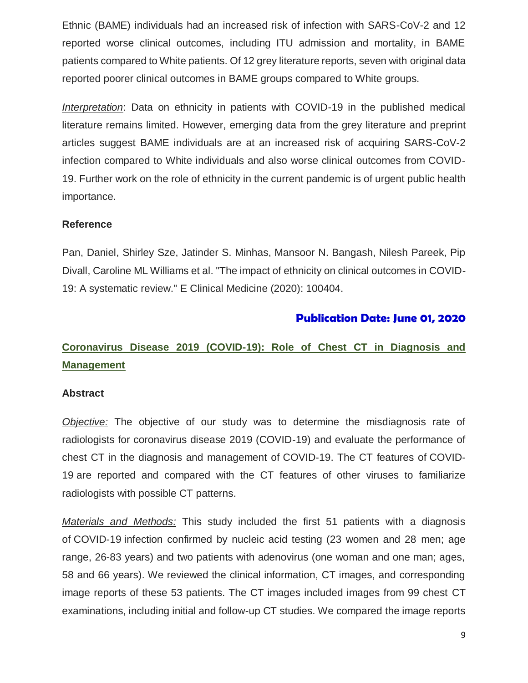Ethnic (BAME) individuals had an increased risk of infection with SARS-CoV-2 and 12 reported worse clinical outcomes, including ITU admission and mortality, in BAME patients compared to White patients. Of 12 grey literature reports, seven with original data reported poorer clinical outcomes in BAME groups compared to White groups.

*Interpretation*: Data on ethnicity in patients with COVID-19 in the published medical literature remains limited. However, emerging data from the grey literature and preprint articles suggest BAME individuals are at an increased risk of acquiring SARS-CoV-2 infection compared to White individuals and also worse clinical outcomes from COVID-19. Further work on the role of ethnicity in the current pandemic is of urgent public health importance.

### **Reference**

Pan, Daniel, Shirley Sze, Jatinder S. Minhas, Mansoor N. Bangash, Nilesh Pareek, Pip Divall, Caroline ML Williams et al. "The impact of ethnicity on clinical outcomes in COVID-19: A systematic review." E Clinical Medicine (2020): 100404.

### **Publication Date: June 01, 2020**

## **[Coronavirus Disease 2019 \(COVID-19\): Role of Chest CT in Diagnosis and](https://www.ncbi.nlm.nih.gov/pubmed/32130038)  [Management](https://www.ncbi.nlm.nih.gov/pubmed/32130038)**

### **Abstract**

*Objective:* The objective of our study was to determine the misdiagnosis rate of radiologists for coronavirus disease 2019 (COVID-19) and evaluate the performance of chest CT in the diagnosis and management of COVID-19. The CT features of COVID-19 are reported and compared with the CT features of other viruses to familiarize radiologists with possible CT patterns.

*Materials and Methods:* This study included the first 51 patients with a diagnosis of COVID-19 infection confirmed by nucleic acid testing (23 women and 28 men; age range, 26-83 years) and two patients with adenovirus (one woman and one man; ages, 58 and 66 years). We reviewed the clinical information, CT images, and corresponding image reports of these 53 patients. The CT images included images from 99 chest CT examinations, including initial and follow-up CT studies. We compared the image reports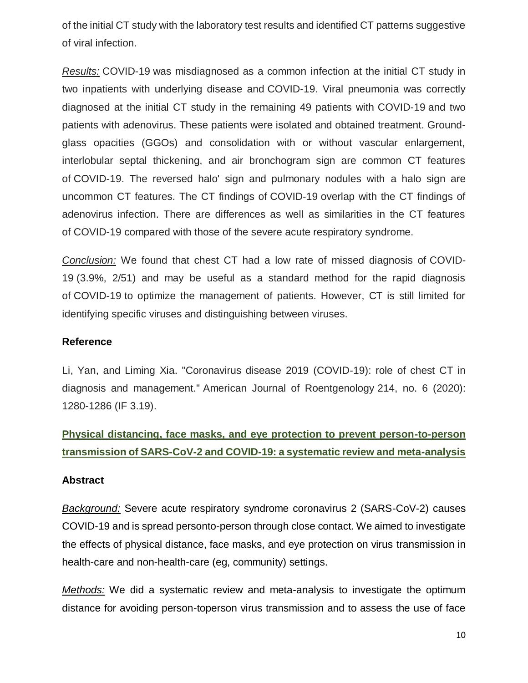of the initial CT study with the laboratory test results and identified CT patterns suggestive of viral infection.

*Results:* COVID-19 was misdiagnosed as a common infection at the initial CT study in two inpatients with underlying disease and COVID-19. Viral pneumonia was correctly diagnosed at the initial CT study in the remaining 49 patients with COVID-19 and two patients with adenovirus. These patients were isolated and obtained treatment. Groundglass opacities (GGOs) and consolidation with or without vascular enlargement, interlobular septal thickening, and air bronchogram sign are common CT features of COVID-19. The reversed halo' sign and pulmonary nodules with a halo sign are uncommon CT features. The CT findings of COVID-19 overlap with the CT findings of adenovirus infection. There are differences as well as similarities in the CT features of COVID-19 compared with those of the severe acute respiratory syndrome.

*Conclusion:* We found that chest CT had a low rate of missed diagnosis of COVID-19 (3.9%, 2/51) and may be useful as a standard method for the rapid diagnosis of COVID-19 to optimize the management of patients. However, CT is still limited for identifying specific viruses and distinguishing between viruses.

### **Reference**

Li, Yan, and Liming Xia. "Coronavirus disease 2019 (COVID-19): role of chest CT in diagnosis and management." American Journal of Roentgenology 214, no. 6 (2020): 1280-1286 (IF 3.19).

### **[Physical distancing, face masks, and eye protection to prevent person-to-person](https://www.thelancet.com/journals/lancet/article/PIIS0140-6736(20)31142-9/fulltext)  [transmission of SARS-CoV-2 and COVID-19: a systematic review and meta-analysis](https://www.thelancet.com/journals/lancet/article/PIIS0140-6736(20)31142-9/fulltext)**

### **Abstract**

*Background:* Severe acute respiratory syndrome coronavirus 2 (SARS-CoV-2) causes COVID-19 and is spread personto-person through close contact. We aimed to investigate the effects of physical distance, face masks, and eye protection on virus transmission in health-care and non-health-care (eg, community) settings.

*Methods:* We did a systematic review and meta-analysis to investigate the optimum distance for avoiding person-toperson virus transmission and to assess the use of face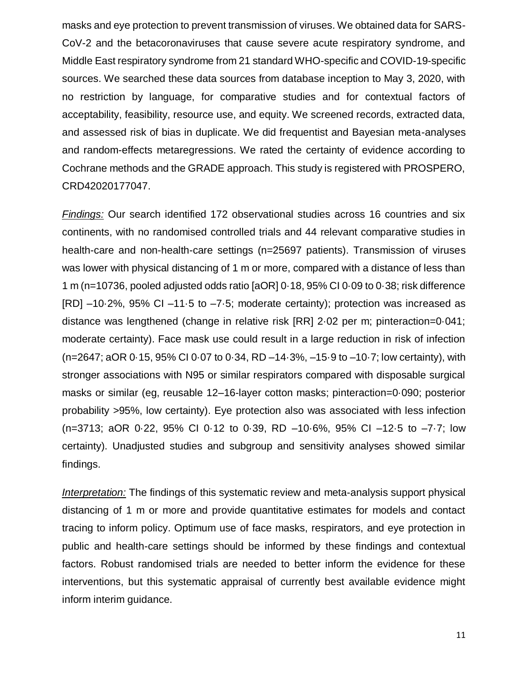masks and eye protection to prevent transmission of viruses. We obtained data for SARS-CoV-2 and the betacoronaviruses that cause severe acute respiratory syndrome, and Middle East respiratory syndrome from 21 standard WHO-specific and COVID-19-specific sources. We searched these data sources from database inception to May 3, 2020, with no restriction by language, for comparative studies and for contextual factors of acceptability, feasibility, resource use, and equity. We screened records, extracted data, and assessed risk of bias in duplicate. We did frequentist and Bayesian meta-analyses and random-effects metaregressions. We rated the certainty of evidence according to Cochrane methods and the GRADE approach. This study is registered with PROSPERO, CRD42020177047.

*Findings:* Our search identified 172 observational studies across 16 countries and six continents, with no randomised controlled trials and 44 relevant comparative studies in health-care and non-health-care settings (n=25697 patients). Transmission of viruses was lower with physical distancing of 1 m or more, compared with a distance of less than 1 m (n=10736, pooled adjusted odds ratio [aOR] 0·18, 95% CI 0·09 to 0·38; risk difference [RD] –10·2%, 95% CI –11·5 to –7·5; moderate certainty); protection was increased as distance was lengthened (change in relative risk [RR] 2·02 per m; pinteraction=0·041; moderate certainty). Face mask use could result in a large reduction in risk of infection (n=2647; aOR 0·15, 95% CI 0·07 to 0·34, RD –14·3%, –15·9 to –10·7; low certainty), with stronger associations with N95 or similar respirators compared with disposable surgical masks or similar (eg, reusable 12–16-layer cotton masks; pinteraction=0·090; posterior probability >95%, low certainty). Eye protection also was associated with less infection (n=3713; aOR 0·22, 95% CI 0·12 to 0·39, RD –10·6%, 95% CI –12·5 to –7·7; low certainty). Unadjusted studies and subgroup and sensitivity analyses showed similar findings.

*Interpretation:* The findings of this systematic review and meta-analysis support physical distancing of 1 m or more and provide quantitative estimates for models and contact tracing to inform policy. Optimum use of face masks, respirators, and eye protection in public and health-care settings should be informed by these findings and contextual factors. Robust randomised trials are needed to better inform the evidence for these interventions, but this systematic appraisal of currently best available evidence might inform interim guidance.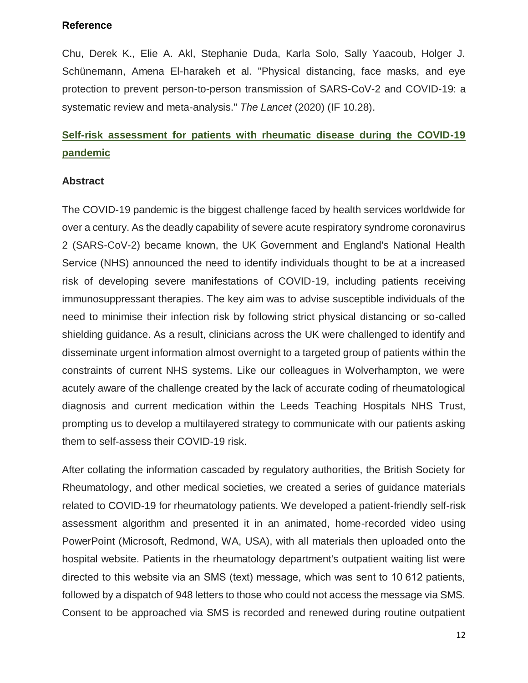### **Reference**

Chu, Derek K., Elie A. Akl, Stephanie Duda, Karla Solo, Sally Yaacoub, Holger J. Schünemann, Amena El-harakeh et al. "Physical distancing, face masks, and eye protection to prevent person-to-person transmission of SARS-CoV-2 and COVID-19: a systematic review and meta-analysis." *The Lancet* (2020) (IF 10.28).

### **Self-risk assessment for patients with rheumatic disease during the COVID-19 pandemic**

#### **Abstract**

The COVID-19 pandemic is the biggest challenge faced by health services worldwide for over a century. As the deadly capability of severe acute respiratory syndrome coronavirus 2 (SARS-CoV-2) became known, the UK Government and England's National Health Service (NHS) announced the need to identify individuals thought to be at a increased risk of developing severe manifestations of COVID-19, including patients receiving immunosuppressant therapies. The key aim was to advise susceptible individuals of the need to minimise their infection risk by following strict physical distancing or so-called shielding guidance. As a result, clinicians across the UK were challenged to identify and disseminate urgent information almost overnight to a targeted group of patients within the constraints of current NHS systems. Like our colleagues in Wolverhampton, we were acutely aware of the challenge created by the lack of accurate coding of rheumatological diagnosis and current medication within the Leeds Teaching Hospitals NHS Trust, prompting us to develop a multilayered strategy to communicate with our patients asking them to self-assess their COVID-19 risk.

After collating the information cascaded by regulatory authorities, the British Society for Rheumatology, and other medical societies, we created a series of guidance materials related to COVID-19 for rheumatology patients. We developed a patient-friendly self-risk assessment algorithm and presented it in an animated, home-recorded video using PowerPoint (Microsoft, Redmond, WA, USA), with all materials then uploaded onto the hospital website. Patients in the rheumatology department's outpatient waiting list were directed to this website via an SMS (text) message, which was sent to 10 612 patients, followed by a dispatch of 948 letters to those who could not access the message via SMS. Consent to be approached via SMS is recorded and renewed during routine outpatient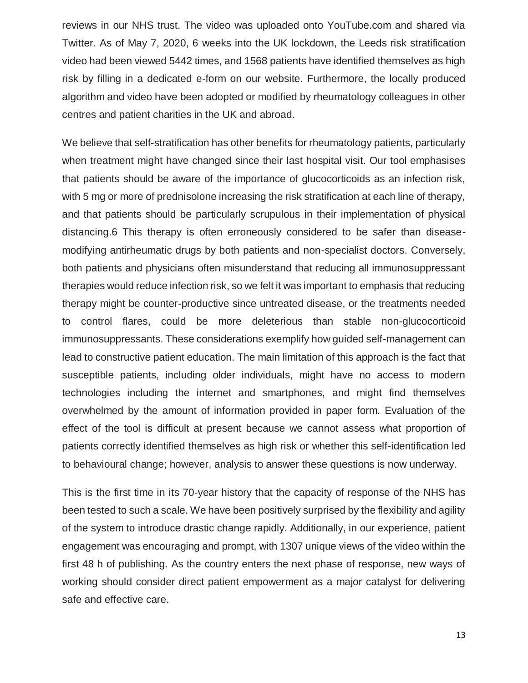reviews in our NHS trust. The video was uploaded onto YouTube.com and shared via Twitter. As of May 7, 2020, 6 weeks into the UK lockdown, the Leeds risk stratification video had been viewed 5442 times, and 1568 patients have identified themselves as high risk by filling in a dedicated e-form on our website. Furthermore, the locally produced algorithm and video have been adopted or modified by rheumatology colleagues in other centres and patient charities in the UK and abroad.

We believe that self-stratification has other benefits for rheumatology patients, particularly when treatment might have changed since their last hospital visit. Our tool emphasises that patients should be aware of the importance of glucocorticoids as an infection risk, with 5 mg or more of prednisolone increasing the risk stratification at each line of therapy, and that patients should be particularly scrupulous in their implementation of physical distancing.6 This therapy is often erroneously considered to be safer than diseasemodifying antirheumatic drugs by both patients and non-specialist doctors. Conversely, both patients and physicians often misunderstand that reducing all immunosuppressant therapies would reduce infection risk, so we felt it was important to emphasis that reducing therapy might be counter-productive since untreated disease, or the treatments needed to control flares, could be more deleterious than stable non-glucocorticoid immunosuppressants. These considerations exemplify how guided self-management can lead to constructive patient education. The main limitation of this approach is the fact that susceptible patients, including older individuals, might have no access to modern technologies including the internet and smartphones, and might find themselves overwhelmed by the amount of information provided in paper form. Evaluation of the effect of the tool is difficult at present because we cannot assess what proportion of patients correctly identified themselves as high risk or whether this self-identification led to behavioural change; however, analysis to answer these questions is now underway.

This is the first time in its 70-year history that the capacity of response of the NHS has been tested to such a scale. We have been positively surprised by the flexibility and agility of the system to introduce drastic change rapidly. Additionally, in our experience, patient engagement was encouraging and prompt, with 1307 unique views of the video within the first 48 h of publishing. As the country enters the next phase of response, new ways of working should consider direct patient empowerment as a major catalyst for delivering safe and effective care.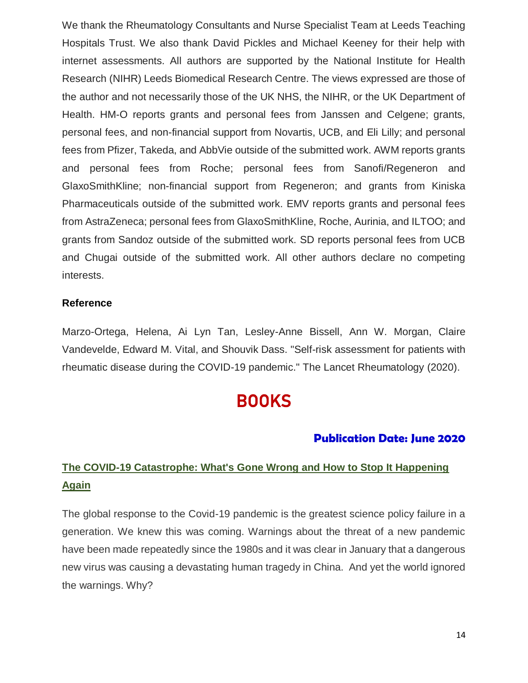We thank the Rheumatology Consultants and Nurse Specialist Team at Leeds Teaching Hospitals Trust. We also thank David Pickles and Michael Keeney for their help with internet assessments. All authors are supported by the National Institute for Health Research (NIHR) Leeds Biomedical Research Centre. The views expressed are those of the author and not necessarily those of the UK NHS, the NIHR, or the UK Department of Health. HM-O reports grants and personal fees from Janssen and Celgene; grants, personal fees, and non-financial support from Novartis, UCB, and Eli Lilly; and personal fees from Pfizer, Takeda, and AbbVie outside of the submitted work. AWM reports grants and personal fees from Roche; personal fees from Sanofi/Regeneron and GlaxoSmithKline; non-financial support from Regeneron; and grants from Kiniska Pharmaceuticals outside of the submitted work. EMV reports grants and personal fees from AstraZeneca; personal fees from GlaxoSmithKline, Roche, Aurinia, and ILTOO; and grants from Sandoz outside of the submitted work. SD reports personal fees from UCB and Chugai outside of the submitted work. All other authors declare no competing interests.

#### **Reference**

Marzo-Ortega, Helena, Ai Lyn Tan, Lesley-Anne Bissell, Ann W. Morgan, Claire Vandevelde, Edward M. Vital, and Shouvik Dass. "Self-risk assessment for patients with rheumatic disease during the COVID-19 pandemic." The Lancet Rheumatology (2020).

# **BOOKS**

### **Publication Date: June 2020**

## **The COVID-19 Catastrophe: What's Gone Wrong and How to Stop It Happening Again**

The global response to the Covid-19 pandemic is the greatest science policy failure in a generation. We knew this was coming. Warnings about the threat of a new pandemic have been made repeatedly since the 1980s and it was clear in January that a dangerous new virus was causing a devastating human tragedy in China. And yet the world ignored the warnings. Why?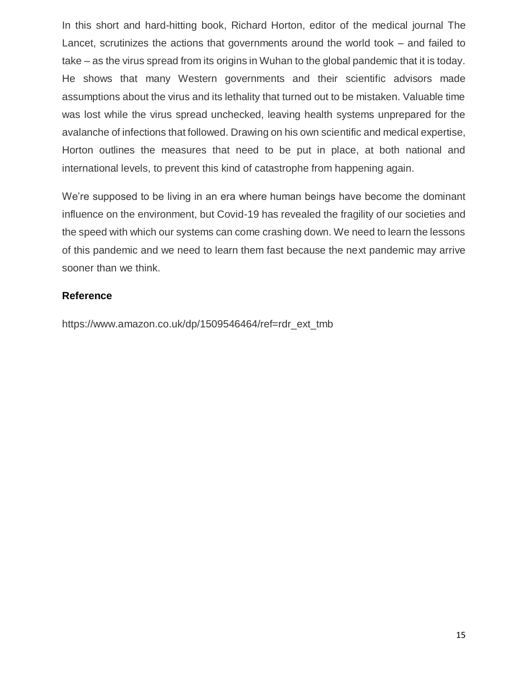In this short and hard-hitting book, Richard Horton, editor of the medical journal The Lancet, scrutinizes the actions that governments around the world took – and failed to take – as the virus spread from its origins in Wuhan to the global pandemic that it is today. He shows that many Western governments and their scientific advisors made assumptions about the virus and its lethality that turned out to be mistaken. Valuable time was lost while the virus spread unchecked, leaving health systems unprepared for the avalanche of infections that followed. Drawing on his own scientific and medical expertise, Horton outlines the measures that need to be put in place, at both national and international levels, to prevent this kind of catastrophe from happening again.

We're supposed to be living in an era where human beings have become the dominant influence on the environment, but Covid-19 has revealed the fragility of our societies and the speed with which our systems can come crashing down. We need to learn the lessons of this pandemic and we need to learn them fast because the next pandemic may arrive sooner than we think.

### **Reference**

https://www.amazon.co.uk/dp/1509546464/ref=rdr\_ext\_tmb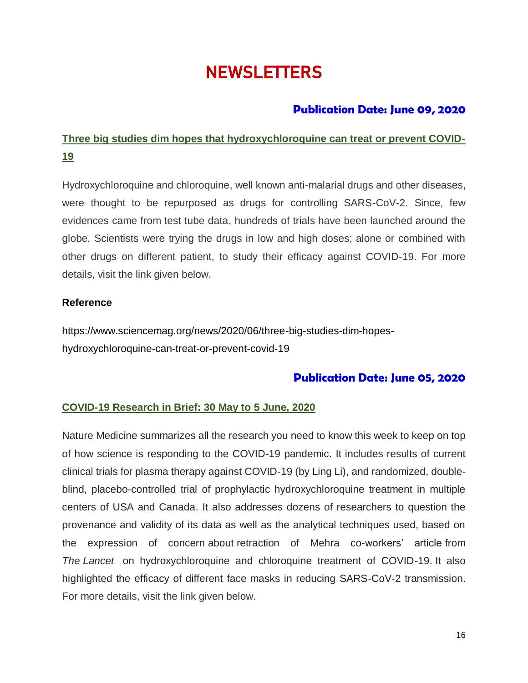# **NEWSLETTERS**

### **Publication Date: June 09, 2020**

# **Three big studies dim hopes that hydroxychloroquine can treat or prevent COVID-19**

Hydroxychloroquine and chloroquine, well known anti-malarial drugs and other diseases, were thought to be repurposed as drugs for controlling SARS-CoV-2. Since, few evidences came from test tube data, hundreds of trials have been launched around the globe. Scientists were trying the drugs in low and high doses; alone or combined with other drugs on different patient, to study their efficacy against COVID-19. For more details, visit the link given below.

### **Reference**

https://www.sciencemag.org/news/2020/06/three-big-studies-dim-hopeshydroxychloroquine-can-treat-or-prevent-covid-19

### **Publication Date: June 05, 2020**

### **COVID-19 Research in Brief: 30 May to 5 June, 2020**

Nature Medicine summarizes all the research you need to know this week to keep on top of how science is responding to the COVID-19 pandemic. It includes results of current clinical trials for plasma therapy against COVID-19 (by Ling Li), and randomized, doubleblind, placebo-controlled trial of prophylactic hydroxychloroquine treatment in multiple centers of USA and Canada. It also addresses dozens of researchers to question the provenance and validity of its data as well as the analytical techniques used, based on the [expression of concern](https://www.thelancet.com/journals/lanpub/article/PIIS0140-6736(20)31290-3/fulltext) about retraction of [Mehra co-workers' article](https://www.thelancet.com/journals/lancet/article/PIIS0140-6736(20)31180-6/fulltext) from *The Lancet* on hydroxychloroquine and chloroquine treatment of COVID-19. It also highlighted the efficacy of different face masks in reducing SARS-CoV-2 transmission. For more details, visit the link given below.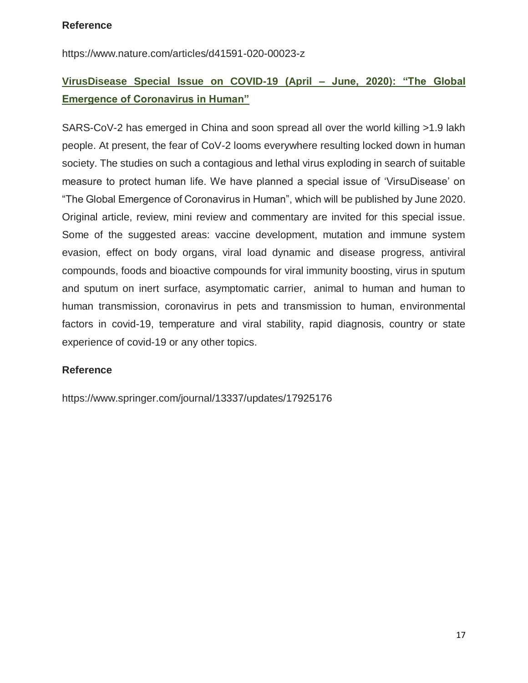### **Reference**

https://www.nature.com/articles/d41591-020-00023-z

## **VirusDisease Special Issue on COVID-19 (April – June, 2020): "The Global Emergence of Coronavirus in Human"**

SARS-CoV-2 has emerged in China and soon spread all over the world killing >1.9 lakh people. At present, the fear of CoV-2 looms everywhere resulting locked down in human society. The studies on such a contagious and lethal virus exploding in search of suitable measure to protect human life. We have planned a special issue of 'VirsuDisease' on "The Global Emergence of Coronavirus in Human", which will be published by June 2020. Original article, review, mini review and commentary are invited for this special issue. Some of the suggested areas: vaccine development, mutation and immune system evasion, effect on body organs, viral load dynamic and disease progress, antiviral compounds, foods and bioactive compounds for viral immunity boosting, virus in sputum and sputum on inert surface, asymptomatic carrier, animal to human and human to human transmission, coronavirus in pets and transmission to human, environmental factors in covid-19, temperature and viral stability, rapid diagnosis, country or state experience of covid-19 or any other topics.

### **Reference**

<https://www.springer.com/journal/13337/updates/17925176>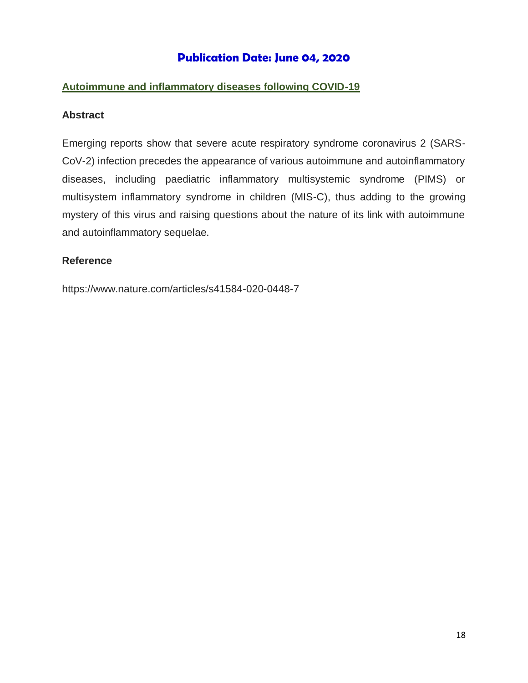### **Publication Date: June 04, 2020**

### **Autoimmune and inflammatory diseases following COVID-19**

#### **Abstract**

Emerging reports show that severe acute respiratory syndrome coronavirus 2 (SARS-CoV-2) infection precedes the appearance of various autoimmune and autoinflammatory diseases, including paediatric inflammatory multisystemic syndrome (PIMS) or multisystem inflammatory syndrome in children (MIS-C), thus adding to the growing mystery of this virus and raising questions about the nature of its link with autoimmune and autoinflammatory sequelae.

#### **Reference**

https://www.nature.com/articles/s41584-020-0448-7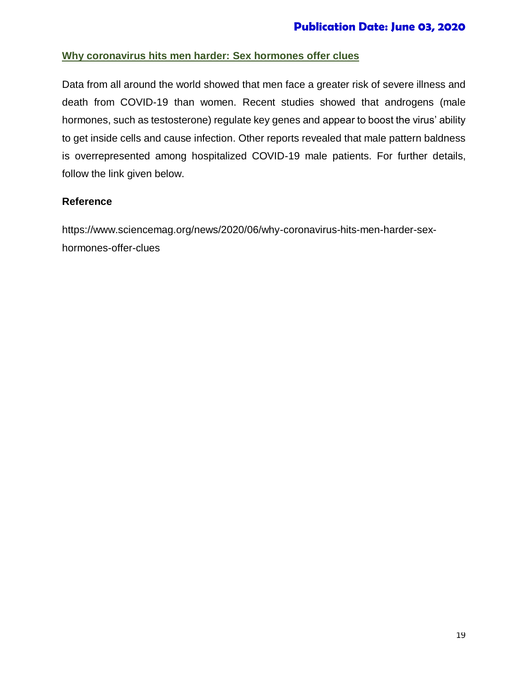### **Why coronavirus hits men harder: Sex hormones offer clues**

Data from all around the world showed that men face a greater risk of severe illness and death from COVID-19 than women. Recent studies showed that androgens (male hormones, such as testosterone) regulate key genes and appear to boost the virus' ability to get inside cells and cause infection. Other reports revealed that male pattern baldness is overrepresented among hospitalized COVID-19 male patients. For further details, follow the link given below.

### **Reference**

https://www.sciencemag.org/news/2020/06/why-coronavirus-hits-men-harder-sexhormones-offer-clues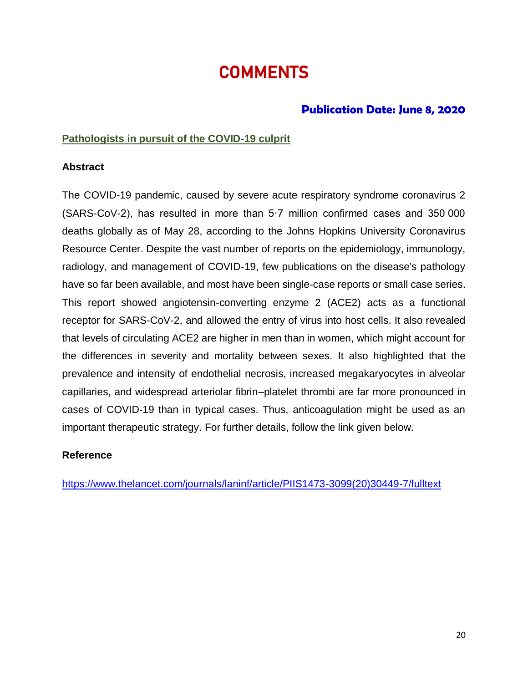# **COMMENTS**

### **Publication Date: June 8, 2020**

### **Pathologists in pursuit of the COVID-19 culprit**

### **Abstract**

The COVID-19 pandemic, caused by severe acute respiratory syndrome coronavirus 2 (SARS-CoV-2), has resulted in more than 5·7 million confirmed cases and 350 000 deaths globally as of May 28, according to the Johns Hopkins University Coronavirus Resource Center. Despite the vast number of reports on the epidemiology, immunology, radiology, and management of COVID-19, few publications on the disease's pathology have so far been available, and most have been single-case reports or small case series. This report showed angiotensin-converting enzyme 2 (ACE2) acts as a functional receptor for SARS-CoV-2, and allowed the entry of virus into host cells. It also revealed that levels of circulating ACE2 are higher in men than in women, which might account for the differences in severity and mortality between sexes. It also highlighted that the prevalence and intensity of endothelial necrosis, increased megakaryocytes in alveolar capillaries, and widespread arteriolar fibrin–platelet thrombi are far more pronounced in cases of COVID-19 than in typical cases. Thus, anticoagulation might be used as an important therapeutic strategy. For further details, follow the link given below.

### **Reference**

[https://www.thelancet.com/journals/laninf/article/PIIS1473-3099\(20\)30449-7/fulltext](https://www.thelancet.com/journals/laninf/article/PIIS1473-3099(20)30449-7/fulltext)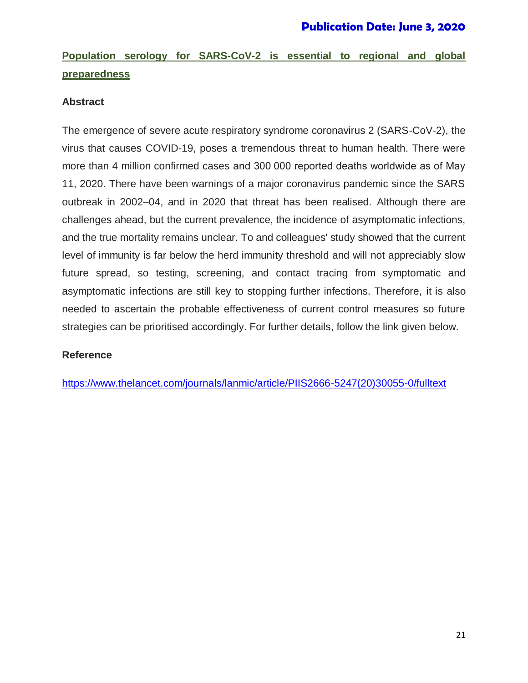# **Population serology for SARS-CoV-2 is essential to regional and global preparedness**

### **Abstract**

The emergence of severe acute respiratory syndrome coronavirus 2 (SARS-CoV-2), the virus that causes COVID-19, poses a tremendous threat to human health. There were more than 4 million confirmed cases and 300 000 reported deaths worldwide as of May 11, 2020. There have been warnings of a major coronavirus pandemic since the SARS outbreak in 2002–04, and in 2020 that threat has been realised. Although there are challenges ahead, but the current prevalence, the incidence of asymptomatic infections, and the true mortality remains unclear. To and colleagues' study showed that the current level of immunity is far below the herd immunity threshold and will not appreciably slow future spread, so testing, screening, and contact tracing from symptomatic and asymptomatic infections are still key to stopping further infections. Therefore, it is also needed to ascertain the probable effectiveness of current control measures so future strategies can be prioritised accordingly. For further details, follow the link given below.

### **Reference**

[https://www.thelancet.com/journals/lanmic/article/PIIS2666-5247\(20\)30055-0/fulltext](https://www.thelancet.com/journals/lanmic/article/PIIS2666-5247(20)30055-0/fulltext)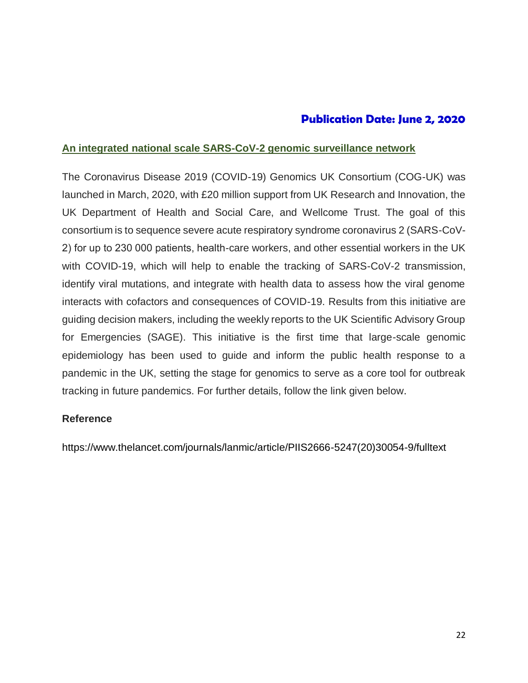### **Publication Date: June 2, 2020**

### **An integrated national scale SARS-CoV-2 genomic surveillance network**

The Coronavirus Disease 2019 (COVID-19) Genomics UK Consortium (COG-UK) was launched in March, 2020, with £20 million support from UK Research and Innovation, the UK Department of Health and Social Care, and Wellcome Trust. The goal of this consortium is to sequence severe acute respiratory syndrome coronavirus 2 (SARS-CoV-2) for up to 230 000 patients, health-care workers, and other essential workers in the UK with COVID-19, which will help to enable the tracking of SARS-CoV-2 transmission, identify viral mutations, and integrate with health data to assess how the viral genome interacts with cofactors and consequences of COVID-19. Results from this initiative are guiding decision makers, including the weekly reports to the UK Scientific Advisory Group for Emergencies (SAGE). This initiative is the first time that large-scale genomic epidemiology has been used to guide and inform the public health response to a pandemic in the UK, setting the stage for genomics to serve as a core tool for outbreak tracking in future pandemics. For further details, follow the link given below.

### **Reference**

https://www.thelancet.com/journals/lanmic/article/PIIS2666-5247(20)30054-9/fulltext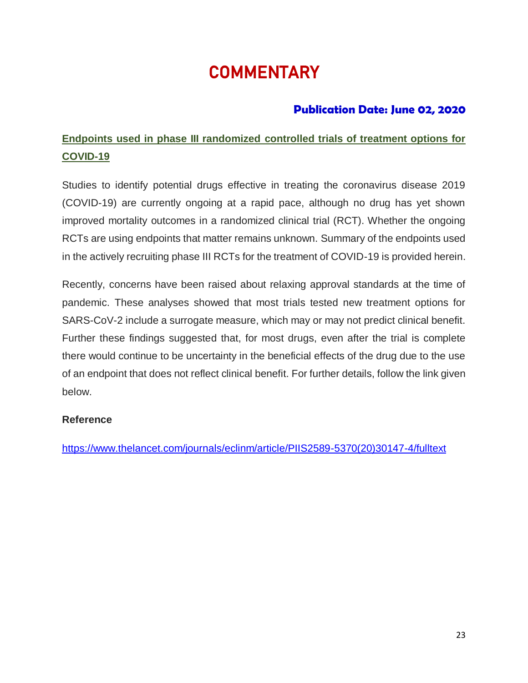# **COMMENTARY**

### **Publication Date: June 02, 2020**

# **Endpoints used in phase III randomized controlled trials of treatment options for COVID-19**

Studies to identify potential drugs effective in treating the coronavirus disease 2019 (COVID-19) are currently ongoing at a rapid pace, although no drug has yet shown improved mortality outcomes in a randomized clinical trial (RCT). Whether the ongoing RCTs are using endpoints that matter remains unknown. Summary of the endpoints used in the actively recruiting phase III RCTs for the treatment of COVID-19 is provided herein.

Recently, concerns have been raised about relaxing approval standards at the time of pandemic. These analyses showed that most trials tested new treatment options for SARS-CoV-2 include a surrogate measure, which may or may not predict clinical benefit. Further these findings suggested that, for most drugs, even after the trial is complete there would continue to be uncertainty in the beneficial effects of the drug due to the use of an endpoint that does not reflect clinical benefit. For further details, follow the link given below.

### **Reference**

[https://www.thelancet.com/journals/eclinm/article/PIIS2589-5370\(20\)30147-4/fulltext](https://www.thelancet.com/journals/eclinm/article/PIIS2589-5370(20)30147-4/fulltext)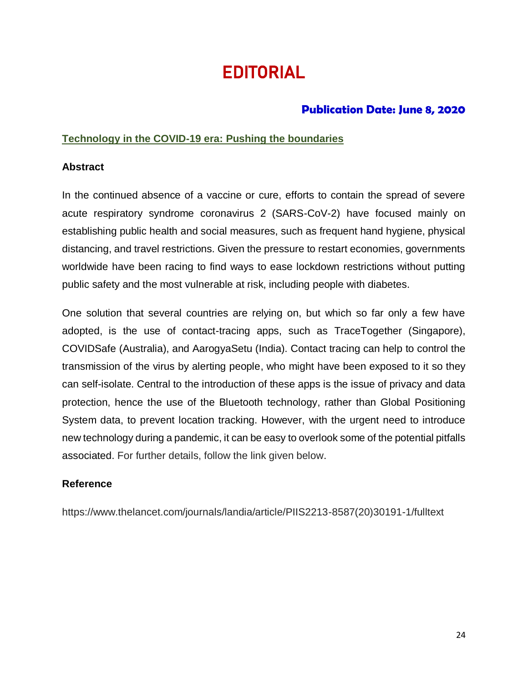# **EDITORIAL**

### **Publication Date: June 8, 2020**

### **Technology in the COVID-19 era: Pushing the boundaries**

### **Abstract**

In the continued absence of a vaccine or cure, efforts to contain the spread of severe acute respiratory syndrome coronavirus 2 (SARS-CoV-2) have focused mainly on establishing public health and social measures, such as frequent hand hygiene, physical distancing, and travel restrictions. Given the pressure to restart economies, governments worldwide have been racing to find ways to ease lockdown restrictions without putting public safety and the most vulnerable at risk, including people with diabetes.

One solution that several countries are relying on, but which so far only a few have adopted, is the use of contact-tracing apps, such as TraceTogether (Singapore), COVIDSafe (Australia), and AarogyaSetu (India). Contact tracing can help to control the transmission of the virus by alerting people, who might have been exposed to it so they can self-isolate. Central to the introduction of these apps is the issue of privacy and data protection, hence the use of the Bluetooth technology, rather than Global Positioning System data, to prevent location tracking. However, with the urgent need to introduce new technology during a pandemic, it can be easy to overlook some of the potential pitfalls associated. For further details, follow the link given below.

### **Reference**

https://www.thelancet.com/journals/landia/article/PIIS2213-8587(20)30191-1/fulltext